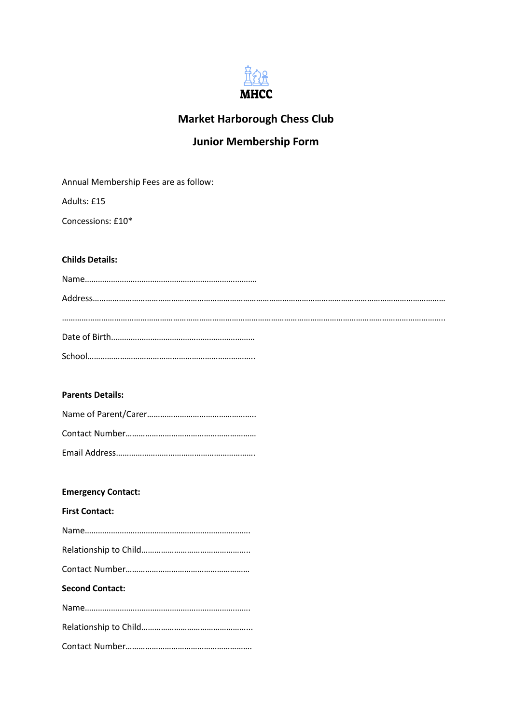

# **Market Harborough Chess Club**

# **Junior Membership Form**

Annual Membership Fees are as follow:

Adults: £15

Concessions: £10\*

# **Childs Details:**

# **Parents Details:**

# **Emergency Contact:**

**First Contact:**

| <b>Second Contact:</b> |
|------------------------|
|                        |
|                        |
|                        |